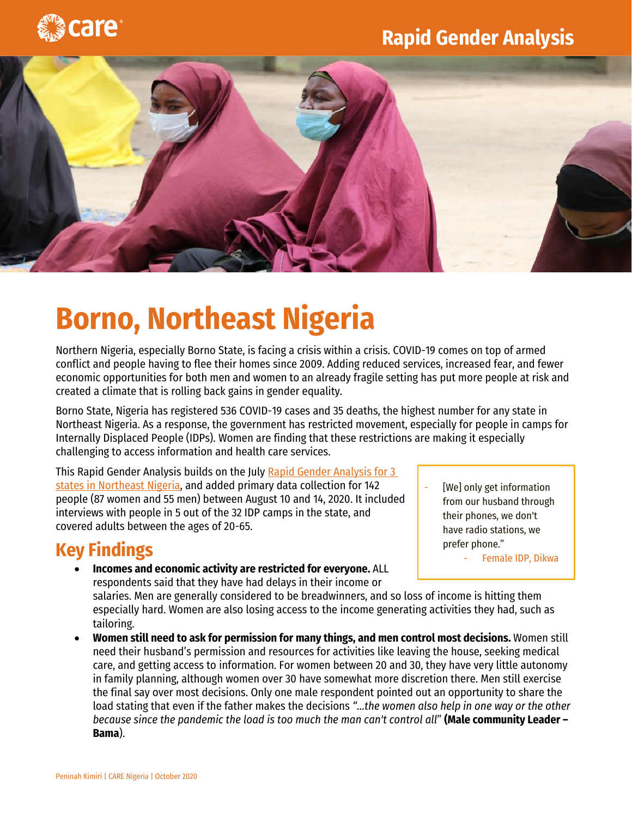

## **Rapid Gender Analysis**



## **Borno, Northeast Nigeria**

Northern Nigeria, especially Borno State, is facing a crisis within a crisis. COVID-19 comes on top of armed conflict and people having to flee their homes since 2009. Adding reduced services, increased fear, and fewer economic opportunities for both men and women to an already fragile setting has put more people at risk and created a climate that is rolling back gains in gender equality.

Borno State, Nigeria has registered 536 COVID-19 cases and 35 deaths, the highest number for any state in Northeast Nigeria. As a response, the government has restricted movement, especially for people in camps for Internally Displaced People (IDPs). Women are finding that these restrictions are making it especially challenging to access information and health care services.

This Rapid Gender Analysis builds on the July [Rapid Gender Analysis for 3](http://www.careevaluations.org/evaluation/northeast-nigeria-rapid-gender-analysis-covid-19/)  [states in Northeast Nigeria,](http://www.careevaluations.org/evaluation/northeast-nigeria-rapid-gender-analysis-covid-19/) and added primary data collection for 142 people (87 women and 55 men) between August 10 and 14, 2020. It included interviews with people in 5 out of the 32 IDP camps in the state, and covered adults between the ages of 20-65.

## **Key Findings**

- **Incomes and economic activity are restricted for everyone.** ALL respondents said that they have had delays in their income or
- [We] only get information from our husband through their phones, we don't have radio stations, we prefer phone."
	- Female IDP, Dikwa

salaries. Men are generally considered to be breadwinners, and so loss of income is hitting them especially hard. Women are also losing access to the income generating activities they had, such as tailoring.

 **Women still need to ask for permission for many things, and men control most decisions.** Women still need their husband's permission and resources for activities like leaving the house, seeking medical care, and getting access to information. For women between 20 and 30, they have very little autonomy in family planning, although women over 30 have somewhat more discretion there. Men still exercise the final say over most decisions. Only one male respondent pointed out an opportunity to share the load stating that even if the father makes the decisions *"…the women also help in one way or the other because since the pandemic the load is too much the man can't control all*" **(Male community Leader – Bama**).